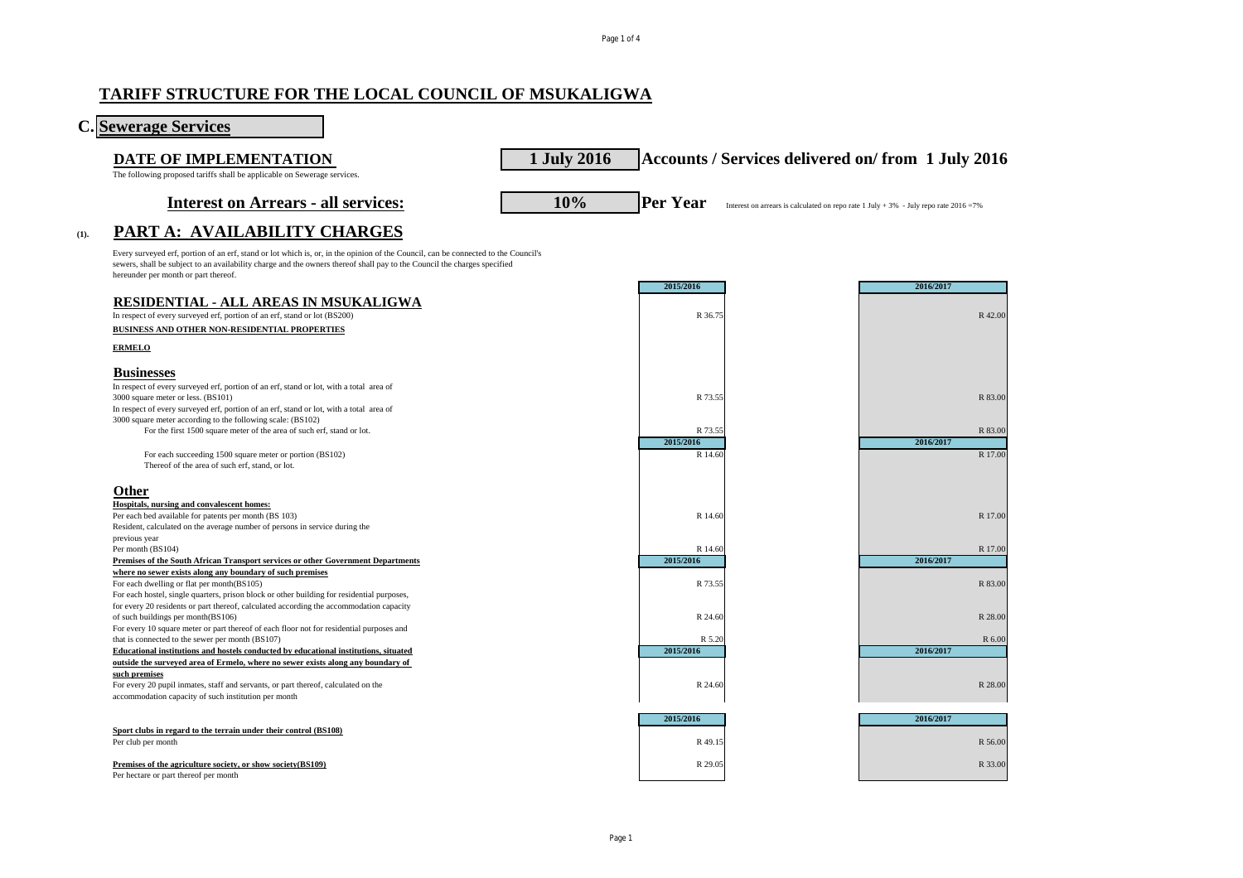## **TARIFF STRUCTURE FOR THE LOCAL COUNCIL OF MSUKALIGWA**

| <b>C.</b> Sewerage Services                                                                                                                                                                                                                                                                            |             |                     |                                                                                          |
|--------------------------------------------------------------------------------------------------------------------------------------------------------------------------------------------------------------------------------------------------------------------------------------------------------|-------------|---------------------|------------------------------------------------------------------------------------------|
| DATE OF IMPLEMENTATION                                                                                                                                                                                                                                                                                 | 1 July 2016 |                     | Accounts / Services delivered on/from 1 July 2016                                        |
| The following proposed tariffs shall be applicable on Sewerage services.                                                                                                                                                                                                                               |             |                     |                                                                                          |
| <b>Interest on Arrears - all services:</b>                                                                                                                                                                                                                                                             | 10%         | <b>Per Year</b>     | Interest on arrears is calculated on repo rate 1 July + 3% - July repo rate $2016 = 7\%$ |
| PART A: AVAILABILITY CHARGES<br>(1).                                                                                                                                                                                                                                                                   |             |                     |                                                                                          |
| Every surveyed erf, portion of an erf, stand or lot which is, or, in the opinion of the Council, can be connected to the Council's<br>sewers, shall be subject to an availability charge and the owners thereof shall pay to the Council the charges specified<br>hereunder per month or part thereof. |             | 2015/2016           | 2016/2017                                                                                |
| <b>RESIDENTIAL - ALL AREAS IN MSUKALIGWA</b>                                                                                                                                                                                                                                                           |             |                     |                                                                                          |
| In respect of every surveyed erf, portion of an erf, stand or lot (BS200)                                                                                                                                                                                                                              |             | R 36.75             | R 42.00                                                                                  |
| BUSINESS AND OTHER NON-RESIDENTIAL PROPERTIES                                                                                                                                                                                                                                                          |             |                     |                                                                                          |
| <b>ERMELO</b>                                                                                                                                                                                                                                                                                          |             |                     |                                                                                          |
| <b>Businesses</b>                                                                                                                                                                                                                                                                                      |             |                     |                                                                                          |
| In respect of every surveyed erf, portion of an erf, stand or lot, with a total area of<br>3000 square meter or less. (BS101)                                                                                                                                                                          |             | R 73.55             | R 83.00                                                                                  |
| In respect of every surveyed erf, portion of an erf, stand or lot, with a total area of<br>3000 square meter according to the following scale: (BS102)                                                                                                                                                 |             |                     |                                                                                          |
| For the first 1500 square meter of the area of such erf, stand or lot.                                                                                                                                                                                                                                 |             | R 73.55             | R 83.00                                                                                  |
|                                                                                                                                                                                                                                                                                                        |             | 2015/2016           | 2016/2017                                                                                |
| For each succeeding 1500 square meter or portion (BS102)<br>Thereof of the area of such erf, stand, or lot.                                                                                                                                                                                            |             | R 14.60             | R 17.00                                                                                  |
| <b>Other</b>                                                                                                                                                                                                                                                                                           |             |                     |                                                                                          |
| Hospitals, nursing and convalescent homes:                                                                                                                                                                                                                                                             |             |                     |                                                                                          |
| Per each bed available for patents per month (BS 103)                                                                                                                                                                                                                                                  |             | R 14.60             | R 17.00                                                                                  |
| Resident, calculated on the average number of persons in service during the<br>previous year                                                                                                                                                                                                           |             |                     |                                                                                          |
| Per month (BS104)                                                                                                                                                                                                                                                                                      |             | R 14.60             | R 17.00                                                                                  |
| Premises of the South African Transport services or other Government Departments                                                                                                                                                                                                                       |             | 2015/2016           | 2016/2017                                                                                |
| where no sewer exists along any boundary of such premises                                                                                                                                                                                                                                              |             |                     |                                                                                          |
| For each dwelling or flat per month(BS105)<br>For each hostel, single quarters, prison block or other building for residential purposes,                                                                                                                                                               |             | R 73.55             | R 83.00                                                                                  |
| for every 20 residents or part thereof, calculated according the accommodation capacity                                                                                                                                                                                                                |             |                     |                                                                                          |
| of such buildings per month(BS106)                                                                                                                                                                                                                                                                     |             | R 24.60             | R 28.00                                                                                  |
| For every 10 square meter or part thereof of each floor not for residential purposes and                                                                                                                                                                                                               |             |                     |                                                                                          |
| that is connected to the sewer per month (BS107)<br>Educational institutions and hostels conducted by educational institutions, situated                                                                                                                                                               |             | R 5.20<br>2015/2016 | R 6.00<br>2016/2017                                                                      |
| outside the surveyed area of Ermelo, where no sewer exists along any boundary of                                                                                                                                                                                                                       |             |                     |                                                                                          |
| such premises                                                                                                                                                                                                                                                                                          |             |                     |                                                                                          |
| For every 20 pupil inmates, staff and servants, or part thereof, calculated on the                                                                                                                                                                                                                     |             | R 24.60             | R 28.00                                                                                  |
| accommodation capacity of such institution per month                                                                                                                                                                                                                                                   |             |                     |                                                                                          |
|                                                                                                                                                                                                                                                                                                        |             | 2015/2016           | 2016/2017                                                                                |
| Sport clubs in regard to the terrain under their control (BS108)                                                                                                                                                                                                                                       |             |                     |                                                                                          |
| Per club per month                                                                                                                                                                                                                                                                                     |             | R 49.15             | R 56.00                                                                                  |
| Premises of the agriculture society, or show society(BS109)                                                                                                                                                                                                                                            |             | R 29.05             | R 33.00                                                                                  |
| Per hectare or part thereof per month                                                                                                                                                                                                                                                                  |             |                     |                                                                                          |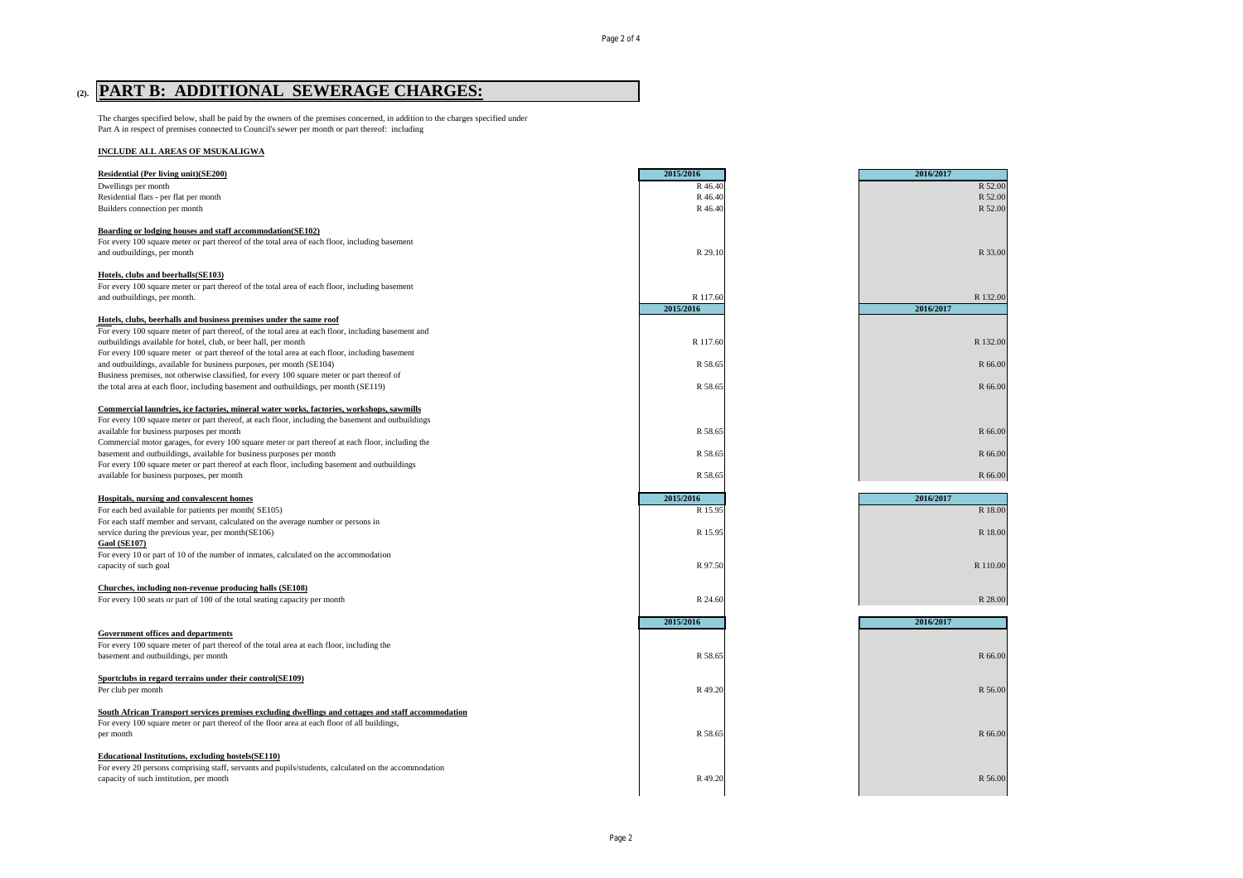# **(2). PART B: ADDITIONAL SEWERAGE CHARGES:**

The charges specified below, shall be paid by the owners of the premises concerned, in addition to the charges specified under Part A in respect of premises connected to Council's sewer per month or part thereof: including

#### **INCLUDE ALL AREAS OF MSUKALIGWA**

| Residential (Per living unit)(SE200)                                                                                                                                                               | 2015/2016 | 2016/2017 |          |
|----------------------------------------------------------------------------------------------------------------------------------------------------------------------------------------------------|-----------|-----------|----------|
| Dwellings per month                                                                                                                                                                                | R 46.40   |           | R 52.00  |
| Residential flats - per flat per month                                                                                                                                                             | R 46.40   |           | R 52.00  |
| Builders connection per month                                                                                                                                                                      | R 46.40   |           | R 52.00  |
| Boarding or lodging houses and staff accommodation(SE102)                                                                                                                                          |           |           |          |
| For every 100 square meter or part thereof of the total area of each floor, including basement                                                                                                     |           |           |          |
| and outbuildings, per month                                                                                                                                                                        | R 29.10   |           | R 33.00  |
| Hotels, clubs and beerhalls(SE103)                                                                                                                                                                 |           |           |          |
| For every 100 square meter or part thereof of the total area of each floor, including basement                                                                                                     |           |           |          |
| and outbuildings, per month.                                                                                                                                                                       | R 117.60  |           | R 132.00 |
|                                                                                                                                                                                                    | 2015/2016 | 2016/2017 |          |
| Hotels, clubs, beerhalls and business premises under the same roof                                                                                                                                 |           |           |          |
| For every 100 square meter of part thereof, of the total area at each floor, including basement and                                                                                                |           |           |          |
| outbuildings available for hotel, club, or beer hall, per month                                                                                                                                    | R 117.60  |           | R 132.00 |
| For every 100 square meter or part thereof of the total area at each floor, including basement                                                                                                     |           |           |          |
| and outbuildings, available for business purposes, per month (SE104)                                                                                                                               | R 58.65   |           | R 66.00  |
| Business premises, not otherwise classified, for every 100 square meter or part thereof of                                                                                                         |           |           |          |
| the total area at each floor, including basement and outbuildings, per month (SE119)                                                                                                               | R 58.65   |           | R 66.00  |
| Commercial laundries, ice factories, mineral water works, factories, workshops, sawmills                                                                                                           |           |           |          |
| For every 100 square meter or part thereof, at each floor, including the basement and outbuildings                                                                                                 |           |           |          |
| available for business purposes per month                                                                                                                                                          | R 58.65   |           | R 66.00  |
| Commercial motor garages, for every 100 square meter or part thereof at each floor, including the                                                                                                  |           |           |          |
| basement and outbuildings, available for business purposes per month                                                                                                                               | R 58.65   |           | R 66.00  |
| For every 100 square meter or part thereof at each floor, including basement and outbuildings                                                                                                      |           |           |          |
| available for business purposes, per month                                                                                                                                                         | R 58.65   |           | R 66.00  |
| Hospitals, nursing and convalescent homes                                                                                                                                                          | 2015/2016 | 2016/2017 |          |
| For each bed available for patients per month(SE105)                                                                                                                                               | R 15.95   |           | R 18.00  |
| For each staff member and servant, calculated on the average number or persons in                                                                                                                  |           |           |          |
| service during the previous year, per month(SE106)                                                                                                                                                 | R 15.95   |           | R 18.00  |
| <b>Gaol (SE107)</b>                                                                                                                                                                                |           |           |          |
| For every 10 or part of 10 of the number of inmates, calculated on the accommodation                                                                                                               |           |           |          |
| capacity of such goal                                                                                                                                                                              | R 97.50   |           | R 110.00 |
| Churches, including non-revenue producing halls (SE108)                                                                                                                                            |           |           |          |
| For every 100 seats or part of 100 of the total seating capacity per month                                                                                                                         | R 24.60   |           | R 28.00  |
|                                                                                                                                                                                                    |           |           |          |
|                                                                                                                                                                                                    | 2015/2016 | 2016/2017 |          |
| <b>Government offices and departments</b>                                                                                                                                                          |           |           |          |
| For every 100 square meter of part thereof of the total area at each floor, including the                                                                                                          |           |           |          |
| basement and outbuildings, per month                                                                                                                                                               | R 58.65   |           | R 66.00  |
| Sportclubs in regard terrains under their control(SE109)                                                                                                                                           |           |           |          |
| Per club per month                                                                                                                                                                                 | R 49.20   |           | R 56.00  |
|                                                                                                                                                                                                    |           |           |          |
| South African Transport services premises excluding dwellings and cottages and staff accommodation<br>For every 100 square meter or part thereof of the floor area at each floor of all buildings, |           |           |          |
| per month                                                                                                                                                                                          | R 58.65   |           | R 66.00  |
|                                                                                                                                                                                                    |           |           |          |
| <b>Educational Institutions, excluding hostels (SE110)</b>                                                                                                                                         |           |           |          |
| For every 20 persons comprising staff, servants and pupils/students, calculated on the accommodation                                                                                               |           |           |          |
| capacity of such institution, per month                                                                                                                                                            | R 49.20   |           | R 56.00  |
|                                                                                                                                                                                                    |           |           |          |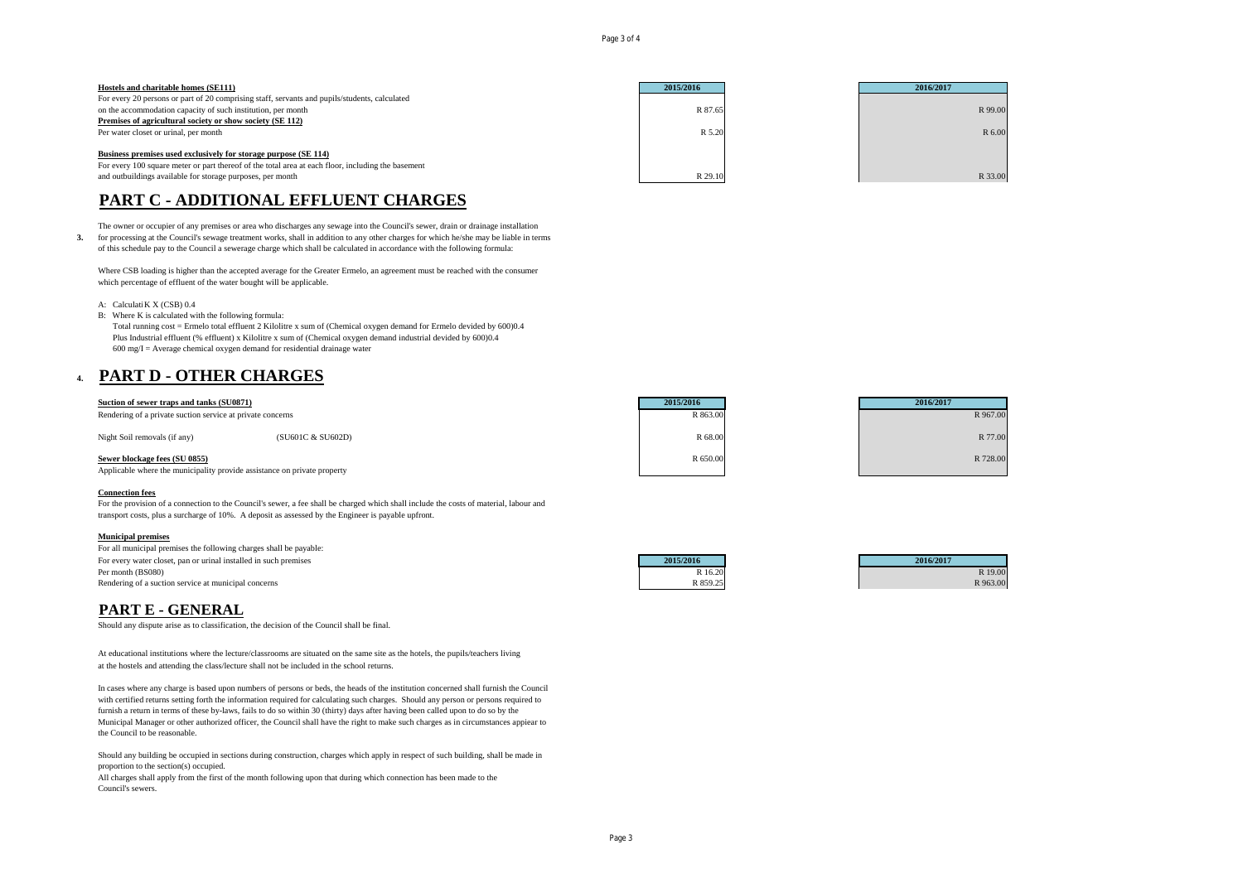Page 3 of 4

| Hostels and charitable homes (SE111)                                                               | 2015/2016 | 2016/2017 |
|----------------------------------------------------------------------------------------------------|-----------|-----------|
| For every 20 persons or part of 20 comprising staff, servants and pupils/students, calculated      |           |           |
| on the accommodation capacity of such institution, per month                                       | R 87.65   | R 99.00   |
| Premises of agricultural society or show society (SE 112)                                          |           |           |
| Per water closet or urinal, per month                                                              | R 5.20    | R 6.00    |
|                                                                                                    |           |           |
| Business premises used exclusively for storage purpose (SE 114)                                    |           |           |
| For every 100 square meter or part thereof of the total area at each floor, including the basement |           |           |
| and outbuildings available for storage purposes, per month                                         | R 29.10   | R 33.00   |

## **PART C - ADDITIONAL EFFLUENT CHARGES**

The owner or occupier of any premises or area who discharges any sewage into the Council's sewer, drain or drainage installation

**3.** for processing at the Council's sewage treatment works, shall in addition to any other charges for which he/she may be liable in terms of this schedule pay to the Council a sewerage charge which shall be calculated in accordance with the following formula:

Where CSB loading is higher than the accepted average for the Greater Ermelo, an agreement must be reached with the consumer which percentage of effluent of the water bought will be applicable.

- A: Calculati K X (CSB)  $0.4$
- B: Where K is calculated with the following formula:

Total running cost = Ermelo total effluent 2 Kilolitre x sum of (Chemical oxygen demand for Ermelo devided by 600)0.4 Plus Industrial effluent (% effluent) x Kilolitre x sum of (Chemical oxygen demand industrial devided by 600)0.4  $600 \text{ mg/I} = \text{Average chemical oxygen demand}$  for residential drainage water

### **4. PART D - OTHER CHARGES**

#### **Suction of sewer traps and tanks (SU0871) 2015/2016 2016/2017**

Rendering of a private suction service at private concerns R 967.00 R 967.00 R 967.00

 $N$ ight Soil removals (if any)  $(SU601C & SU602D)$   $R \cdot 77.00$ 

#### **Sewer blockage fees (SU 0855)** R 728.00

Applicable where the municipality provide assistance on private property

#### **Connection fees**

For the provision of a connection to the Council's sewer, a fee shall be charged which shall include the costs of material, labour and transport costs, plus a surcharge of 10%. A deposit as assessed by the Engineer is payable upfront.

#### **Municipal premises**

For all municipal premises the following charges shall be payable: For every water closet, pan or urinal installed in such premises **2015/2016 2015/2016 2015/2016 2015/2016 2015/2016 R** Per month (BS080) R 19.00 R 19.00 R 19.00 R 19.00 R 19.00 R 19.00 R 19.00 R 19.00 R 19.00 R 19.00 R 19.00 R 19 Rendering of a suction service at municipal concerns R 859.25



| 2016/2017 |          |
|-----------|----------|
|           | R 19.00  |
|           | R 963.00 |

### **PART E - GENERAL**

Should any dispute arise as to classification, the decision of the Council shall be final.

At educational institutions where the lecture/classrooms are situated on the same site as the hotels, the pupils/teachers living at the hostels and attending the class/lecture shall not be included in the school returns.

In cases where any charge is based upon numbers of persons or beds, the heads of the institution concerned shall furnish the Council with certified returns setting forth the information required for calculating such charges. Should any person or persons required to furnish a return in terms of these by-laws, fails to do so within 30 (thirty) days after having been called upon to do so by the Municipal Manager or other authorized officer, the Council shall have the right to make such charges as in circumstances appiear to the Council to be reasonable.

Should any building be occupied in sections during construction, charges which apply in respect of such building, shall be made in proportion to the section(s) occupied.

All charges shall apply from the first of the month following upon that during which connection has been made to the Council's sewers.